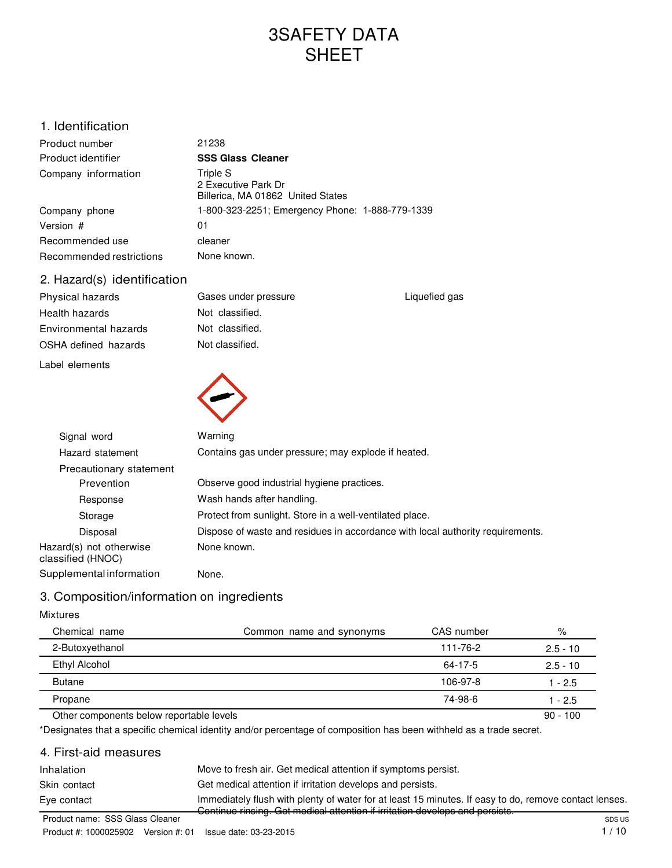# 3SAFETY DATA SHEET

## 1. Identification

| Product number           | 21238                                                                |
|--------------------------|----------------------------------------------------------------------|
| Product identifier       | <b>SSS Glass Cleaner</b>                                             |
| Company information      | Triple S<br>2 Executive Park Dr<br>Billerica, MA 01862 United States |
| Company phone            | 1-800-323-2251; Emergency Phone: 1-888-779-1339                      |
| Version #                | 01                                                                   |
| Recommended use          | cleaner                                                              |
| Recommended restrictions | None known.                                                          |
|                          |                                                                      |

## 2. Hazard(s) identification

Physical hazards Health hazards Environmental hazards OSHA defined hazards

Label elements



Liquefied gas



| Signal word                                  | Warning                                                                        |  |  |
|----------------------------------------------|--------------------------------------------------------------------------------|--|--|
| Hazard statement                             | Contains gas under pressure; may explode if heated.                            |  |  |
| Precautionary statement                      |                                                                                |  |  |
| Prevention                                   | Observe good industrial hygiene practices.                                     |  |  |
| Response                                     | Wash hands after handling.                                                     |  |  |
| Storage                                      | Protect from sunlight. Store in a well-ventilated place.                       |  |  |
| Disposal                                     | Dispose of waste and residues in accordance with local authority requirements. |  |  |
| Hazard(s) not otherwise<br>classified (HNOC) | None known.                                                                    |  |  |
| Supplemental information                     | None.                                                                          |  |  |

## 3. Composition/information on ingredients

## Mixtures

| Chemical name                            | Common name and synonyms | CAS number | %          |
|------------------------------------------|--------------------------|------------|------------|
| 2-Butoxyethanol                          |                          | 111-76-2   | $2.5 - 10$ |
| Ethyl Alcohol                            |                          | 64-17-5    | $2.5 - 10$ |
| <b>Butane</b>                            |                          | 106-97-8   | $1 - 2.5$  |
| Propane                                  |                          | 74-98-6    | 1 - 2.5    |
| Other components below reportable levels |                          |            | $90 - 100$ |

\*Designates that a specific chemical identity and/or percentage of composition has been withheld as a trade secret.

## 4. First-aid measures

| Inhalation                      | Move to fresh air. Get medical attention if symptoms persist.                                         |        |
|---------------------------------|-------------------------------------------------------------------------------------------------------|--------|
| Skin contact                    | Get medical attention if irritation develops and persists.                                            |        |
| Eye contact                     | Immediately flush with plenty of water for at least 15 minutes. If easy to do, remove contact lenses. |        |
| Product name: SSS Glass Cleaner | -Continue rinsing. Get medical attention if irritation develops and persists.                         | SDS US |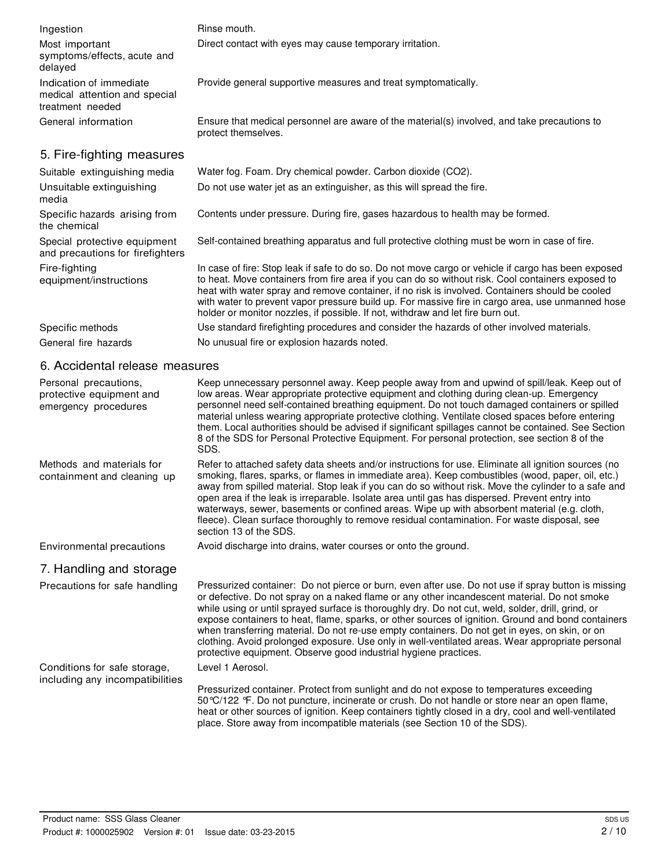| Ingestion                                                                    | Rinse mouth.                                                                                                                                                                                                                                                                                                                                                                                                                                                                                                                                                                                                  |
|------------------------------------------------------------------------------|---------------------------------------------------------------------------------------------------------------------------------------------------------------------------------------------------------------------------------------------------------------------------------------------------------------------------------------------------------------------------------------------------------------------------------------------------------------------------------------------------------------------------------------------------------------------------------------------------------------|
| Most important<br>symptoms/effects, acute and<br>delayed                     | Direct contact with eyes may cause temporary irritation.                                                                                                                                                                                                                                                                                                                                                                                                                                                                                                                                                      |
| Indication of immediate<br>medical attention and special<br>treatment needed | Provide general supportive measures and treat symptomatically.                                                                                                                                                                                                                                                                                                                                                                                                                                                                                                                                                |
| General information                                                          | Ensure that medical personnel are aware of the material(s) involved, and take precautions to<br>protect themselves.                                                                                                                                                                                                                                                                                                                                                                                                                                                                                           |
| 5. Fire-fighting measures                                                    |                                                                                                                                                                                                                                                                                                                                                                                                                                                                                                                                                                                                               |
| Suitable extinguishing media                                                 | Water fog. Foam. Dry chemical powder. Carbon dioxide (CO2).                                                                                                                                                                                                                                                                                                                                                                                                                                                                                                                                                   |
| Unsuitable extinguishing<br>media                                            | Do not use water jet as an extinguisher, as this will spread the fire.                                                                                                                                                                                                                                                                                                                                                                                                                                                                                                                                        |
| Specific hazards arising from<br>the chemical                                | Contents under pressure. During fire, gases hazardous to health may be formed.                                                                                                                                                                                                                                                                                                                                                                                                                                                                                                                                |
| Special protective equipment<br>and precautions for firefighters             | Self-contained breathing apparatus and full protective clothing must be worn in case of fire.                                                                                                                                                                                                                                                                                                                                                                                                                                                                                                                 |
| Fire-fighting<br>equipment/instructions                                      | In case of fire: Stop leak if safe to do so. Do not move cargo or vehicle if cargo has been exposed<br>to heat. Move containers from fire area if you can do so without risk. Cool containers exposed to<br>heat with water spray and remove container, if no risk is involved. Containers should be cooled<br>with water to prevent vapor pressure build up. For massive fire in cargo area, use unmanned hose<br>holder or monitor nozzles, if possible. If not, withdraw and let fire burn out.                                                                                                            |
| Specific methods                                                             | Use standard firefighting procedures and consider the hazards of other involved materials.                                                                                                                                                                                                                                                                                                                                                                                                                                                                                                                    |
| General fire hazards                                                         | No unusual fire or explosion hazards noted.                                                                                                                                                                                                                                                                                                                                                                                                                                                                                                                                                                   |
| 6. Accidental release measures                                               |                                                                                                                                                                                                                                                                                                                                                                                                                                                                                                                                                                                                               |
| Personal precautions,<br>protective equipment and<br>emergency procedures    | Keep unnecessary personnel away. Keep people away from and upwind of spill/leak. Keep out of<br>low areas. Wear appropriate protective equipment and clothing during clean-up. Emergency<br>personnel need self-contained breathing equipment. Do not touch damaged containers or spilled<br>material unless wearing appropriate protective clothing. Ventilate closed spaces before entering<br>them. Local authorities should be advised if significant spillages cannot be contained. See Section<br>8 of the SDS for Personal Protective Equipment. For personal protection, see section 8 of the<br>SDS. |

Methods and materials for containment and cleaning up Refer to attached safety data sheets and/or instructions for use. Eliminate all ignition sources (no smoking, flares, sparks, or flames in immediate area). Keep combustibles (wood, paper, oil, etc.) away from spilled material. Stop leak if you can do so without risk. Move the cylinder to a safe and open area if the leak is irreparable. Isolate area until gas has dispersed. Prevent entry into waterways, sewer, basements or confined areas. Wipe up with absorbent material (e.g. cloth, fleece). Clean surface thoroughly to remove residual contamination. For waste disposal, see section 13 of the SDS.

Environmental precautions Avoid discharge into drains, water courses or onto the ground.

## 7. Handling and storage

Precautions for safe handling Pressurized container: Do not pierce or burn, even after use. Do not use if spray button is missing or defective. Do not spray on a naked flame or any other incandescent material. Do not smoke while using or until sprayed surface is thoroughly dry. Do not cut, weld, solder, drill, grind, or expose containers to heat, flame, sparks, or other sources of ignition. Ground and bond containers when transferring material. Do not re-use empty containers. Do not get in eyes, on skin, or on clothing. Avoid prolonged exposure. Use only in well-ventilated areas. Wear appropriate personal protective equipment. Observe good industrial hygiene practices. Level 1 Aerosol.

Conditions for safe storage, including any incompatibilities

Pressurized container. Protect from sunlight and do not expose to temperatures exceeding 50°C/122 °F. Do not puncture, incinerate or crush. Do not handle or store near an open flame, heat or other sources of ignition. Keep containers tightly closed in a dry, cool and well-ventilated place. Store away from incompatible materials (see Section 10 of the SDS).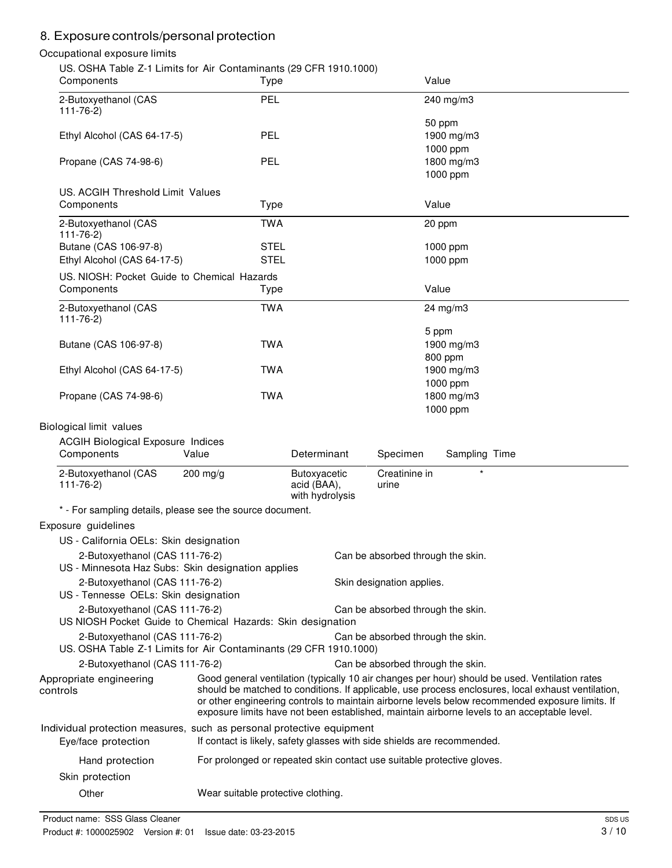## 8. Exposure controls/personal protection

#### Occupational exposure limits

US. OSHA Table Z-1 Limits for Air Contaminants (29 CFR 1910.1000)

| $\sim$ . Obtinations $\epsilon$ is contracted by the contraction of $\epsilon$ , or it is not not in $\sim$<br>Components | Type                                                                                                                                                                                                                                                                                                                                                                                                   |                                                |                                   | Value                              |
|---------------------------------------------------------------------------------------------------------------------------|--------------------------------------------------------------------------------------------------------------------------------------------------------------------------------------------------------------------------------------------------------------------------------------------------------------------------------------------------------------------------------------------------------|------------------------------------------------|-----------------------------------|------------------------------------|
| 2-Butoxyethanol (CAS<br>$111 - 76 - 2$                                                                                    | <b>PEL</b>                                                                                                                                                                                                                                                                                                                                                                                             |                                                |                                   | 240 mg/m3                          |
| Ethyl Alcohol (CAS 64-17-5)                                                                                               | <b>PEL</b>                                                                                                                                                                                                                                                                                                                                                                                             |                                                |                                   | 50 ppm<br>1900 mg/m3               |
| Propane (CAS 74-98-6)                                                                                                     | <b>PEL</b>                                                                                                                                                                                                                                                                                                                                                                                             |                                                |                                   | 1000 ppm<br>1800 mg/m3<br>1000 ppm |
| US. ACGIH Threshold Limit Values<br>Components                                                                            | Type                                                                                                                                                                                                                                                                                                                                                                                                   |                                                |                                   | Value                              |
| 2-Butoxyethanol (CAS                                                                                                      | <b>TWA</b>                                                                                                                                                                                                                                                                                                                                                                                             |                                                |                                   | 20 ppm                             |
| $111 - 76 - 2$<br>Butane (CAS 106-97-8)                                                                                   | <b>STEL</b>                                                                                                                                                                                                                                                                                                                                                                                            |                                                |                                   | 1000 ppm                           |
| Ethyl Alcohol (CAS 64-17-5)                                                                                               | <b>STEL</b>                                                                                                                                                                                                                                                                                                                                                                                            |                                                |                                   | 1000 ppm                           |
| US. NIOSH: Pocket Guide to Chemical Hazards<br>Components                                                                 | Type                                                                                                                                                                                                                                                                                                                                                                                                   |                                                |                                   | Value                              |
| 2-Butoxyethanol (CAS                                                                                                      | <b>TWA</b>                                                                                                                                                                                                                                                                                                                                                                                             |                                                |                                   | 24 mg/m3                           |
| $111 - 76 - 2)$<br>Butane (CAS 106-97-8)                                                                                  | <b>TWA</b>                                                                                                                                                                                                                                                                                                                                                                                             |                                                |                                   | 5 ppm<br>1900 mg/m3                |
| Ethyl Alcohol (CAS 64-17-5)                                                                                               | <b>TWA</b>                                                                                                                                                                                                                                                                                                                                                                                             |                                                |                                   | 800 ppm<br>1900 mg/m3              |
| Propane (CAS 74-98-6)                                                                                                     | <b>TWA</b>                                                                                                                                                                                                                                                                                                                                                                                             |                                                |                                   | 1000 ppm<br>1800 mg/m3<br>1000 ppm |
| Biological limit values                                                                                                   |                                                                                                                                                                                                                                                                                                                                                                                                        |                                                |                                   |                                    |
| <b>ACGIH Biological Exposure Indices</b><br>Components                                                                    | Value                                                                                                                                                                                                                                                                                                                                                                                                  | Determinant                                    | Specimen                          | Sampling Time                      |
| 2-Butoxyethanol (CAS<br>$111 - 76 - 2$                                                                                    | $200$ mg/g                                                                                                                                                                                                                                                                                                                                                                                             | Butoxyacetic<br>acid (BAA),<br>with hydrolysis | Creatinine in<br>urine            |                                    |
| * - For sampling details, please see the source document.                                                                 |                                                                                                                                                                                                                                                                                                                                                                                                        |                                                |                                   |                                    |
| Exposure guidelines                                                                                                       |                                                                                                                                                                                                                                                                                                                                                                                                        |                                                |                                   |                                    |
| US - California OELs: Skin designation                                                                                    |                                                                                                                                                                                                                                                                                                                                                                                                        |                                                |                                   |                                    |
| 2-Butoxyethanol (CAS 111-76-2)<br>US - Minnesota Haz Subs: Skin designation applies                                       |                                                                                                                                                                                                                                                                                                                                                                                                        |                                                | Can be absorbed through the skin. |                                    |
| 2-Butoxyethanol (CAS 111-76-2)<br>US - Tennesse OELs: Skin designation                                                    |                                                                                                                                                                                                                                                                                                                                                                                                        |                                                | Skin designation applies.         |                                    |
|                                                                                                                           | 2-Butoxyethanol (CAS 111-76-2)<br>Can be absorbed through the skin.<br>US NIOSH Pocket Guide to Chemical Hazards: Skin designation                                                                                                                                                                                                                                                                     |                                                |                                   |                                    |
| 2-Butoxyethanol (CAS 111-76-2)<br>US. OSHA Table Z-1 Limits for Air Contaminants (29 CFR 1910.1000)                       |                                                                                                                                                                                                                                                                                                                                                                                                        |                                                | Can be absorbed through the skin. |                                    |
| 2-Butoxyethanol (CAS 111-76-2)                                                                                            |                                                                                                                                                                                                                                                                                                                                                                                                        |                                                | Can be absorbed through the skin. |                                    |
| Appropriate engineering<br>controls                                                                                       | Good general ventilation (typically 10 air changes per hour) should be used. Ventilation rates<br>should be matched to conditions. If applicable, use process enclosures, local exhaust ventilation,<br>or other engineering controls to maintain airborne levels below recommended exposure limits. If<br>exposure limits have not been established, maintain airborne levels to an acceptable level. |                                                |                                   |                                    |
| Individual protection measures, such as personal protective equipment<br>Eye/face protection                              | If contact is likely, safety glasses with side shields are recommended.                                                                                                                                                                                                                                                                                                                                |                                                |                                   |                                    |
| Hand protection                                                                                                           | For prolonged or repeated skin contact use suitable protective gloves.                                                                                                                                                                                                                                                                                                                                 |                                                |                                   |                                    |
| Skin protection                                                                                                           |                                                                                                                                                                                                                                                                                                                                                                                                        |                                                |                                   |                                    |
| Other                                                                                                                     | Wear suitable protective clothing.                                                                                                                                                                                                                                                                                                                                                                     |                                                |                                   |                                    |

Product name: SSS Glass Cleaner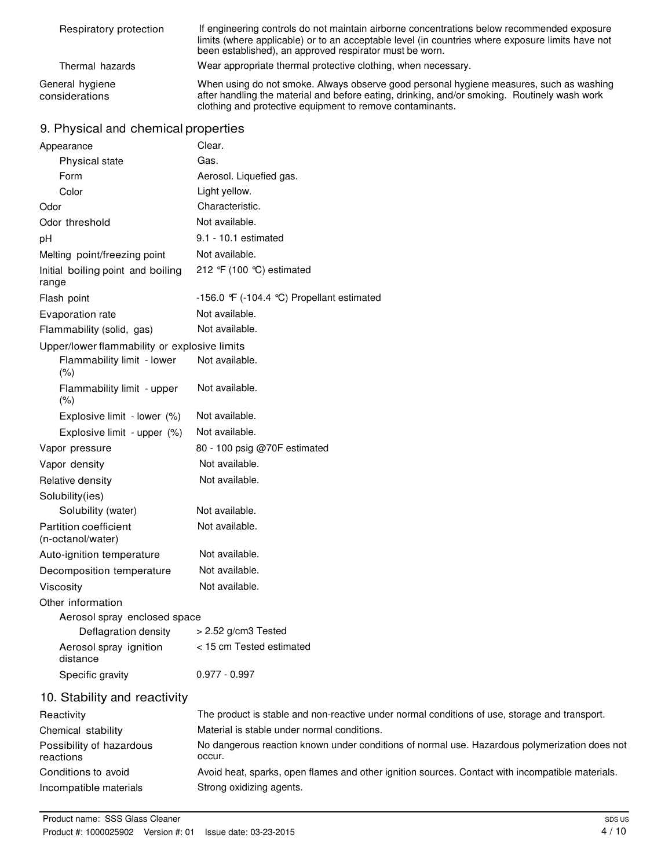| Respiratory protection            | If engineering controls do not maintain airborne concentrations below recommended exposure<br>limits (where applicable) or to an acceptable level (in countries where exposure limits have not<br>been established), an approved respirator must be worn. |
|-----------------------------------|-----------------------------------------------------------------------------------------------------------------------------------------------------------------------------------------------------------------------------------------------------------|
| Thermal hazards                   | Wear appropriate thermal protective clothing, when necessary.                                                                                                                                                                                             |
| General hygiene<br>considerations | When using do not smoke. Always observe good personal hygiene measures, such as washing<br>after handling the material and before eating, drinking, and/or smoking. Routinely wash work<br>clothing and protective equipment to remove contaminants.      |

## 9. Physical and chemical properties

| Appearance                                   | Clear.                                                                                                  |
|----------------------------------------------|---------------------------------------------------------------------------------------------------------|
| Physical state                               | Gas.                                                                                                    |
| Form                                         | Aerosol. Liquefied gas.                                                                                 |
| Color                                        | Light yellow.                                                                                           |
| Odor                                         | Characteristic.                                                                                         |
| Odor threshold                               | Not available.                                                                                          |
| pH                                           | 9.1 - 10.1 estimated                                                                                    |
| Melting point/freezing point                 | Not available.                                                                                          |
| Initial boiling point and boiling<br>range   | 212 °F (100 °C) estimated                                                                               |
| Flash point                                  | -156.0 $\mathcal{F}$ (-104.4 °C) Propellant estimated                                                   |
| Evaporation rate                             | Not available.                                                                                          |
| Flammability (solid, gas)                    | Not available.                                                                                          |
| Upper/lower flammability or explosive limits |                                                                                                         |
| Flammability limit - lower<br>$(\% )$        | Not available.                                                                                          |
| Flammability limit - upper<br>(% )           | Not available.                                                                                          |
| Explosive limit - lower (%)                  | Not available.                                                                                          |
| Explosive limit - upper (%)                  | Not available.                                                                                          |
| Vapor pressure                               | 80 - 100 psig @70F estimated                                                                            |
| Vapor density                                | Not available.                                                                                          |
| Relative density                             | Not available.                                                                                          |
| Solubility(ies)                              |                                                                                                         |
| Solubility (water)                           | Not available.                                                                                          |
| Partition coefficient<br>(n-octanol/water)   | Not available.                                                                                          |
| Auto-ignition temperature                    | Not available.                                                                                          |
| Decomposition temperature                    | Not available.                                                                                          |
| Viscosity                                    | Not available.                                                                                          |
| Other information                            |                                                                                                         |
| Aerosol spray enclosed space                 |                                                                                                         |
| Deflagration density                         | > 2.52 g/cm3 Tested                                                                                     |
| Aerosol spray ignition<br>distance           | < 15 cm Tested estimated                                                                                |
| Specific gravity                             | $0.977 - 0.997$                                                                                         |
| 10. Stability and reactivity                 |                                                                                                         |
| Reactivity                                   | The product is stable and non-reactive under normal conditions of use, storage and transport.           |
| Chemical stability                           | Material is stable under normal conditions.                                                             |
| Possibility of hazardous<br>reactions        | No dangerous reaction known under conditions of normal use. Hazardous polymerization does not<br>occur. |
| Conditions to avoid                          | Avoid heat, sparks, open flames and other ignition sources. Contact with incompatible materials.        |
| Incompatible materials                       | Strong oxidizing agents.                                                                                |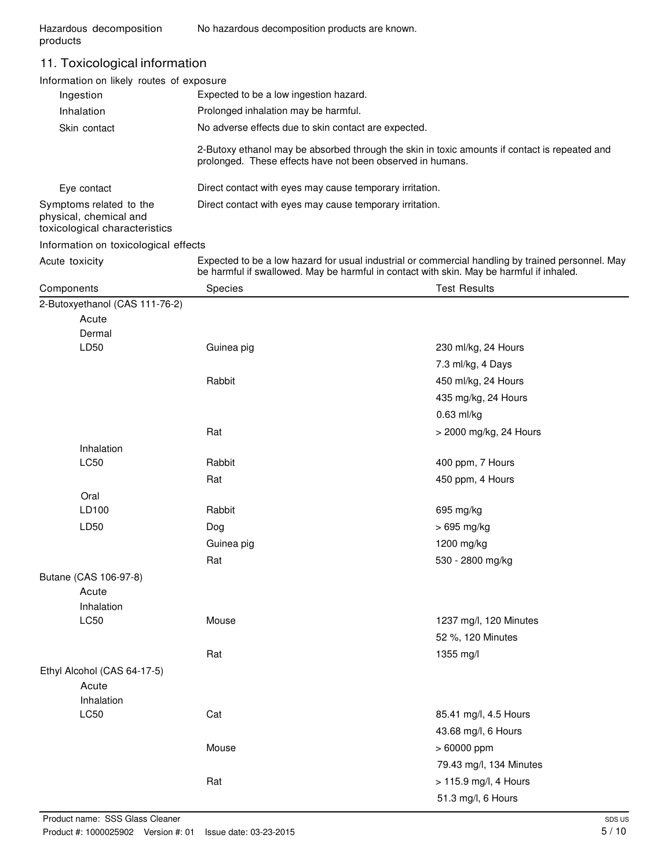## 11. Toxicological information

| Information on likely routes of exposure                                           |                                                                                          |                                                                                                   |  |
|------------------------------------------------------------------------------------|------------------------------------------------------------------------------------------|---------------------------------------------------------------------------------------------------|--|
| Ingestion                                                                          | Expected to be a low ingestion hazard.                                                   |                                                                                                   |  |
| Inhalation                                                                         | Prolonged inhalation may be harmful.                                                     |                                                                                                   |  |
| Skin contact                                                                       | No adverse effects due to skin contact are expected.                                     |                                                                                                   |  |
|                                                                                    | prolonged. These effects have not been observed in humans.                               | 2-Butoxy ethanol may be absorbed through the skin in toxic amounts if contact is repeated and     |  |
| Eye contact                                                                        | Direct contact with eyes may cause temporary irritation.                                 |                                                                                                   |  |
| Symptoms related to the<br>physical, chemical and<br>toxicological characteristics | Direct contact with eyes may cause temporary irritation.                                 |                                                                                                   |  |
| Information on toxicological effects                                               |                                                                                          |                                                                                                   |  |
| Acute toxicity                                                                     | be harmful if swallowed. May be harmful in contact with skin. May be harmful if inhaled. | Expected to be a low hazard for usual industrial or commercial handling by trained personnel. May |  |
| Components                                                                         | Species                                                                                  | <b>Test Results</b>                                                                               |  |
| 2-Butoxyethanol (CAS 111-76-2)                                                     |                                                                                          |                                                                                                   |  |
| Acute                                                                              |                                                                                          |                                                                                                   |  |
| Dermal                                                                             |                                                                                          |                                                                                                   |  |
| LD50                                                                               | Guinea pig                                                                               | 230 ml/kg, 24 Hours                                                                               |  |
|                                                                                    |                                                                                          | 7.3 ml/kg, 4 Days                                                                                 |  |
|                                                                                    | Rabbit                                                                                   | 450 ml/kg, 24 Hours                                                                               |  |
|                                                                                    |                                                                                          | 435 mg/kg, 24 Hours                                                                               |  |
|                                                                                    |                                                                                          | $0.63$ ml/kg                                                                                      |  |
|                                                                                    | Rat                                                                                      | > 2000 mg/kg, 24 Hours                                                                            |  |
| Inhalation                                                                         |                                                                                          |                                                                                                   |  |
| <b>LC50</b>                                                                        | Rabbit                                                                                   | 400 ppm, 7 Hours                                                                                  |  |
|                                                                                    | Rat                                                                                      | 450 ppm, 4 Hours                                                                                  |  |
| Oral                                                                               |                                                                                          |                                                                                                   |  |
| LD100                                                                              | Rabbit                                                                                   | 695 mg/kg                                                                                         |  |
| LD50                                                                               | Dog                                                                                      | > 695 mg/kg                                                                                       |  |
|                                                                                    | Guinea pig                                                                               | 1200 mg/kg                                                                                        |  |
|                                                                                    | Rat                                                                                      | 530 - 2800 mg/kg                                                                                  |  |
| Butane (CAS 106-97-8)                                                              |                                                                                          |                                                                                                   |  |
| Acute                                                                              |                                                                                          |                                                                                                   |  |
| Inhalation                                                                         |                                                                                          |                                                                                                   |  |
| LC50                                                                               | Mouse                                                                                    | 1237 mg/l, 120 Minutes                                                                            |  |
|                                                                                    |                                                                                          | 52 %, 120 Minutes                                                                                 |  |
|                                                                                    | Rat                                                                                      | 1355 mg/l                                                                                         |  |
| Ethyl Alcohol (CAS 64-17-5)                                                        |                                                                                          |                                                                                                   |  |
| Acute                                                                              |                                                                                          |                                                                                                   |  |
| Inhalation                                                                         |                                                                                          |                                                                                                   |  |
| LC50                                                                               | Cat                                                                                      | 85.41 mg/l, 4.5 Hours                                                                             |  |
|                                                                                    |                                                                                          | 43.68 mg/l, 6 Hours                                                                               |  |
|                                                                                    | Mouse                                                                                    | > 60000 ppm                                                                                       |  |
|                                                                                    |                                                                                          | 79.43 mg/l, 134 Minutes                                                                           |  |
|                                                                                    | Rat                                                                                      | > 115.9 mg/l, 4 Hours                                                                             |  |
|                                                                                    |                                                                                          | 51.3 mg/l, 6 Hours                                                                                |  |
|                                                                                    |                                                                                          |                                                                                                   |  |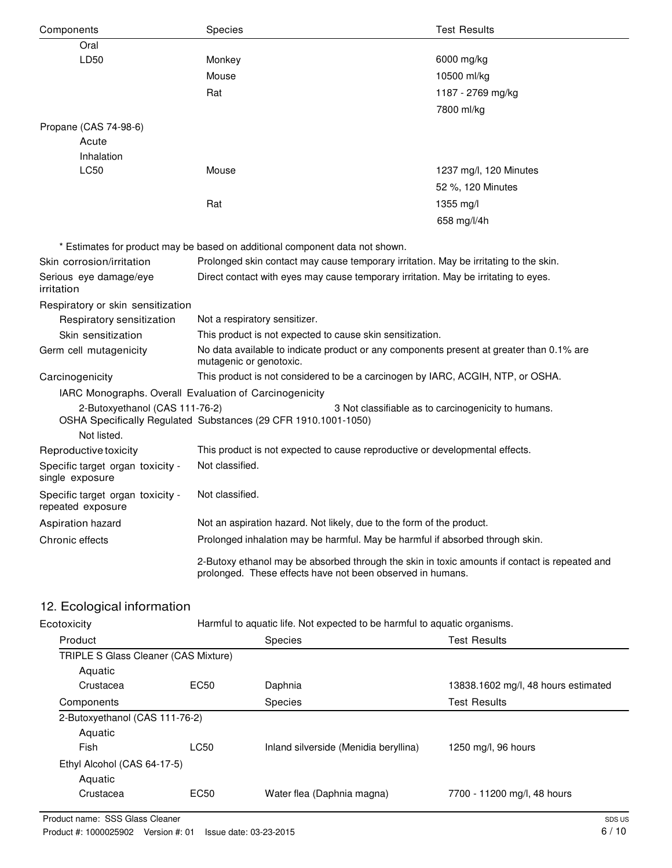| Components                                             | Species                                                                                                                                                     | <b>Test Results</b>                                 |  |
|--------------------------------------------------------|-------------------------------------------------------------------------------------------------------------------------------------------------------------|-----------------------------------------------------|--|
| Oral                                                   |                                                                                                                                                             |                                                     |  |
| LD50                                                   | Monkey                                                                                                                                                      | 6000 mg/kg                                          |  |
|                                                        | Mouse                                                                                                                                                       | 10500 ml/kg                                         |  |
|                                                        | Rat                                                                                                                                                         | 1187 - 2769 mg/kg                                   |  |
|                                                        |                                                                                                                                                             | 7800 ml/kg                                          |  |
| Propane (CAS 74-98-6)                                  |                                                                                                                                                             |                                                     |  |
| Acute                                                  |                                                                                                                                                             |                                                     |  |
| Inhalation                                             |                                                                                                                                                             |                                                     |  |
| <b>LC50</b>                                            | Mouse                                                                                                                                                       | 1237 mg/l, 120 Minutes                              |  |
|                                                        |                                                                                                                                                             | 52 %, 120 Minutes                                   |  |
|                                                        | Rat                                                                                                                                                         | $1355 \text{ mg/l}$                                 |  |
|                                                        |                                                                                                                                                             | 658 mg/l/4h                                         |  |
|                                                        |                                                                                                                                                             |                                                     |  |
|                                                        | * Estimates for product may be based on additional component data not shown.                                                                                |                                                     |  |
| Skin corrosion/irritation                              | Prolonged skin contact may cause temporary irritation. May be irritating to the skin.                                                                       |                                                     |  |
| Serious eye damage/eye<br>irritation                   | Direct contact with eyes may cause temporary irritation. May be irritating to eyes.                                                                         |                                                     |  |
| Respiratory or skin sensitization                      |                                                                                                                                                             |                                                     |  |
| Respiratory sensitization                              | Not a respiratory sensitizer.                                                                                                                               |                                                     |  |
| Skin sensitization                                     | This product is not expected to cause skin sensitization.                                                                                                   |                                                     |  |
| Germ cell mutagenicity                                 | No data available to indicate product or any components present at greater than 0.1% are<br>mutagenic or genotoxic.                                         |                                                     |  |
| Carcinogenicity                                        | This product is not considered to be a carcinogen by IARC, ACGIH, NTP, or OSHA.                                                                             |                                                     |  |
| IARC Monographs. Overall Evaluation of Carcinogenicity |                                                                                                                                                             |                                                     |  |
| 2-Butoxyethanol (CAS 111-76-2)<br>Not listed.          | OSHA Specifically Regulated Substances (29 CFR 1910.1001-1050)                                                                                              | 3 Not classifiable as to carcinogenicity to humans. |  |
| Reproductive toxicity                                  | This product is not expected to cause reproductive or developmental effects.                                                                                |                                                     |  |
| Specific target organ toxicity -                       | Not classified.                                                                                                                                             |                                                     |  |
| single exposure                                        |                                                                                                                                                             |                                                     |  |
| Specific target organ toxicity -<br>repeated exposure  | Not classified.                                                                                                                                             |                                                     |  |
| Aspiration hazard                                      | Not an aspiration hazard. Not likely, due to the form of the product.                                                                                       |                                                     |  |
| Chronic effects                                        | Prolonged inhalation may be harmful. May be harmful if absorbed through skin.                                                                               |                                                     |  |
|                                                        | 2-Butoxy ethanol may be absorbed through the skin in toxic amounts if contact is repeated and<br>prolonged. These effects have not been observed in humans. |                                                     |  |

# 12. Ecological information

| Ecotoxicity                    | Harmful to aquatic life. Not expected to be harmful to aquatic organisms. |                                       |                                     |  |  |  |
|--------------------------------|---------------------------------------------------------------------------|---------------------------------------|-------------------------------------|--|--|--|
| Product                        | <b>Species</b>                                                            |                                       | <b>Test Results</b>                 |  |  |  |
|                                | TRIPLE S Glass Cleaner (CAS Mixture)                                      |                                       |                                     |  |  |  |
| Aquatic                        |                                                                           |                                       |                                     |  |  |  |
| Crustacea                      | EC50                                                                      | Daphnia                               | 13838.1602 mg/l, 48 hours estimated |  |  |  |
| Components                     |                                                                           | <b>Species</b>                        | <b>Test Results</b>                 |  |  |  |
| 2-Butoxyethanol (CAS 111-76-2) |                                                                           |                                       |                                     |  |  |  |
| Aquatic                        |                                                                           |                                       |                                     |  |  |  |
| Fish                           | LC50                                                                      | Inland silverside (Menidia beryllina) | 1250 mg/l, 96 hours                 |  |  |  |
| Ethyl Alcohol (CAS 64-17-5)    |                                                                           |                                       |                                     |  |  |  |
| Aquatic                        |                                                                           |                                       |                                     |  |  |  |
| Crustacea                      | EC50                                                                      | Water flea (Daphnia magna)            | 7700 - 11200 mg/l, 48 hours         |  |  |  |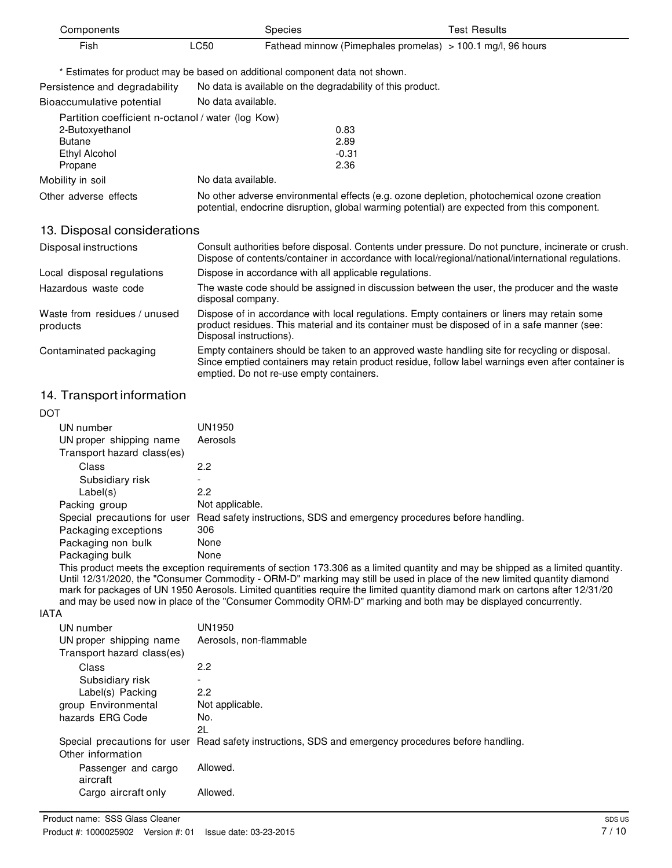| Components                                        |                    | <b>Species</b>                                                                                                                                                                             | <b>Test Results</b> |
|---------------------------------------------------|--------------------|--------------------------------------------------------------------------------------------------------------------------------------------------------------------------------------------|---------------------|
| Fish                                              | LC50               | Fathead minnow (Pimephales promelas) $> 100.1$ mg/l, 96 hours                                                                                                                              |                     |
|                                                   |                    | * Estimates for product may be based on additional component data not shown.                                                                                                               |                     |
| Persistence and degradability                     |                    | No data is available on the degradability of this product.                                                                                                                                 |                     |
| Bioaccumulative potential                         | No data available. |                                                                                                                                                                                            |                     |
| Partition coefficient n-octanol / water (log Kow) |                    |                                                                                                                                                                                            |                     |
| 2-Butoxyethanol                                   |                    | 0.83                                                                                                                                                                                       |                     |
| <b>Butane</b>                                     |                    | 2.89                                                                                                                                                                                       |                     |
| <b>Ethyl Alcohol</b>                              |                    | $-0.31$                                                                                                                                                                                    |                     |
| Propane                                           |                    | 2.36                                                                                                                                                                                       |                     |
| Mobility in soil                                  | No data available. |                                                                                                                                                                                            |                     |
| Other adverse effects                             |                    | No other adverse environmental effects (e.g. ozone depletion, photochemical ozone creation<br>potential, endocrine disruption, global warming potential) are expected from this component. |                     |

### 13. Disposal considerations

| Disposal instructions                    | Consult authorities before disposal. Contents under pressure. Do not puncture, incinerate or crush.<br>Dispose of contents/container in accordance with local/regional/national/international regulations.                                       |
|------------------------------------------|--------------------------------------------------------------------------------------------------------------------------------------------------------------------------------------------------------------------------------------------------|
| Local disposal regulations               | Dispose in accordance with all applicable regulations.                                                                                                                                                                                           |
| Hazardous waste code                     | The waste code should be assigned in discussion between the user, the producer and the waste<br>disposal company.                                                                                                                                |
| Waste from residues / unused<br>products | Dispose of in accordance with local regulations. Empty containers or liners may retain some<br>product residues. This material and its container must be disposed of in a safe manner (see:<br>Disposal instructions).                           |
| Contaminated packaging                   | Empty containers should be taken to an approved waste handling site for recycling or disposal.<br>Since emptied containers may retain product residue, follow label warnings even after container is<br>emptied. Do not re-use empty containers. |

## 14. Transport information

| <b>DOT</b>                   |                                                                         |
|------------------------------|-------------------------------------------------------------------------|
| UN number                    | UN1950                                                                  |
| UN proper shipping name      | Aerosols                                                                |
| Transport hazard class(es)   |                                                                         |
| Class                        | 2.2                                                                     |
| Subsidiary risk              | $\overline{\phantom{0}}$                                                |
| Label(s)                     | 2.2                                                                     |
| Packing group                | Not applicable.                                                         |
| Special precautions for user | Read safety instructions, SDS and emergency procedures before handling. |
| Packaging exceptions         | 306                                                                     |
| Packaging non bulk           | None                                                                    |
| Packaging bulk               | None                                                                    |

This product meets the exception requirements of section 173.306 as a limited quantity and may be shipped as a limited quantity. Until 12/31/2020, the "Consumer Commodity - ORM-D" marking may still be used in place of the new limited quantity diamond mark for packages of UN 1950 Aerosols. Limited quantities require the limited quantity diamond mark on cartons after 12/31/20 and may be used now in place of the "Consumer Commodity ORM-D" marking and both may be displayed concurrently.

#### IATA

| UN number                  | UN1950                                                                                               |
|----------------------------|------------------------------------------------------------------------------------------------------|
| UN proper shipping name    | Aerosols, non-flammable                                                                              |
| Transport hazard class(es) |                                                                                                      |
| Class                      | 2.2                                                                                                  |
| Subsidiary risk            |                                                                                                      |
| Label(s) Packing           | 2.2                                                                                                  |
| group Environmental        | Not applicable.                                                                                      |
| hazards ERG Code           | No.                                                                                                  |
|                            | 21.                                                                                                  |
|                            | Special precautions for user Read safety instructions, SDS and emergency procedures before handling. |
| Other information          |                                                                                                      |
| Passenger and cargo        | Allowed.                                                                                             |
| aircraft                   |                                                                                                      |
| Cargo aircraft only        | Allowed.                                                                                             |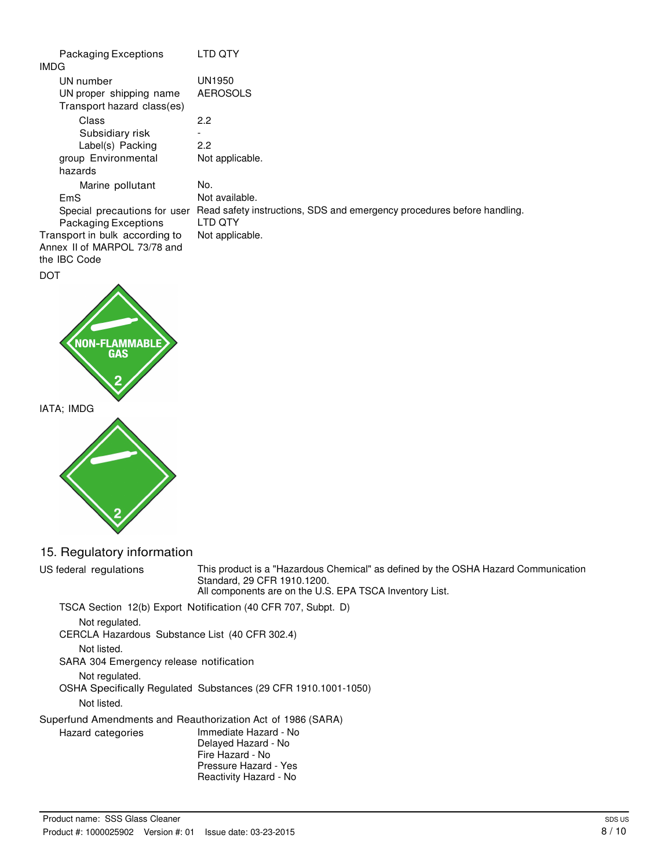| Packaging Exceptions           | LTD OTY                                                                 |
|--------------------------------|-------------------------------------------------------------------------|
| IMDG                           |                                                                         |
| UN number                      | UN1950                                                                  |
| UN proper shipping name        | <b>AEROSOLS</b>                                                         |
| Transport hazard class(es)     |                                                                         |
| Class                          | 2.2                                                                     |
| Subsidiary risk                |                                                                         |
| Label(s) Packing               | 2.2                                                                     |
| group Environmental            | Not applicable.                                                         |
| hazards                        |                                                                         |
| Marine pollutant               | No.                                                                     |
| EmS                            | Not available.                                                          |
| Special precautions for user   | Read safety instructions, SDS and emergency procedures before handling. |
| Packaging Exceptions           | LTD OTY                                                                 |
| Transport in bulk according to | Not applicable.                                                         |
| Annex II of MARPOL 73/78 and   |                                                                         |
| the IBC Code                   |                                                                         |
| DOT                            |                                                                         |





## 15. Regulatory information

US federal regulations This product is a "Hazardous Chemical" as defined by the OSHA Hazard Communication Standard, 29 CFR 1910.1200. All components are on the U.S. EPA TSCA Inventory List. TSCA Section 12(b) Export Notification (40 CFR 707, Subpt. D) Not regulated. CERCLA Hazardous Substance List (40 CFR 302.4) Not listed. SARA 304 Emergency release notification Not regulated. OSHA Specifically Regulated Substances (29 CFR 1910.1001-1050) Not listed. Superfund Amendments and Reauthorization Act of 1986 (SARA) Hazard categories Immediate Hazard - No Delayed Hazard - No Fire Hazard - No Pressure Hazard - Yes Reactivity Hazard - No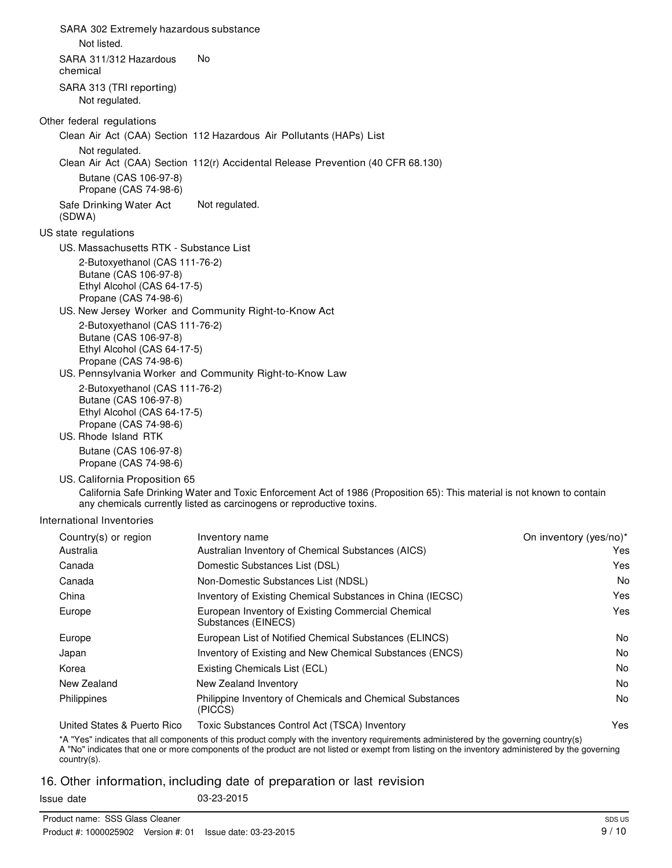SARA 302 Extremely hazardous substance Not listed. SARA 311/312 Hazardous No chemical SARA 313 (TRI reporting) Not regulated. Other federal regulations Clean Air Act (CAA) Section 112 Hazardous Air Pollutants (HAPs) List Not regulated. Clean Air Act (CAA) Section 112(r) Accidental Release Prevention (40 CFR 68.130) Butane (CAS 106-97-8) Propane (CAS 74-98-6) Safe Drinking Water Act (SDWA) US state regulations Not regulated. US. Massachusetts RTK - Substance List 2-Butoxyethanol (CAS 111-76-2) Butane (CAS 106-97-8) Ethyl Alcohol (CAS 64-17-5) Propane (CAS 74-98-6) US. New Jersey Worker and Community Right-to-Know Act 2-Butoxyethanol (CAS 111-76-2) Butane (CAS 106-97-8) Ethyl Alcohol (CAS 64-17-5) Propane (CAS 74-98-6) US. Pennsylvania Worker and Community Right-to-Know Law 2-Butoxyethanol (CAS 111-76-2) Butane (CAS 106-97-8) Ethyl Alcohol (CAS 64-17-5) Propane (CAS 74-98-6) US. Rhode Island RTK Butane (CAS 106-97-8) Propane (CAS 74-98-6) US. California Proposition 65 California Safe Drinking Water and Toxic Enforcement Act of 1986 (Proposition 65): This material is not known to contain any chemicals currently listed as carcinogens or reproductive toxins. International Inventories Country(s) or region Inventory name **Country and Country (yes/no)**\* Australia Australian Inventory of Chemical Substances (AICS) Canada Domestic Substances List (DSL) Canada Non-Domestic Substances List (NDSL) China Inventory of Existing Chemical Substances in China (IECSC) Europe **European Inventory of Existing Commercial Chemical** Substances (EINECS) Europe European List of Notified Chemical Substances (ELINCS) Japan Inventory of Existing and New Chemical Substances (ENCS) Korea **Existing Chemicals List (ECL)** New Zealand New Zealand Inventory Yes Yes No Yes Yes No No No No

United States & Puerto Rico Toxic Substances Control Act (TSCA) Inventory

(PICCS)

Philippines Philippine Inventory of Chemicals and Chemical Substances

\*A "Yes" indicates that all components of this product comply with the inventory requirements administered by the governing country(s) Yes A "No" indicates that one or more components of the product are not listed or exempt from listing on the inventory administered by the governing country(s).

## 16. Other information, including date of preparation or last revision

Issue date 03-23-2015

No